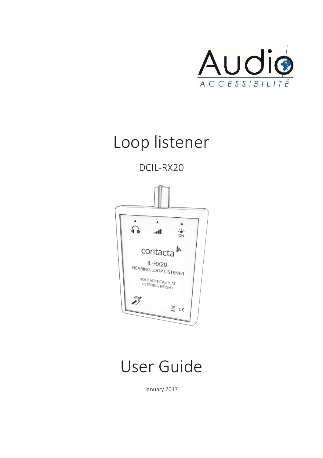

### Loop listener

DCIL-RX20



User Guide

January 2017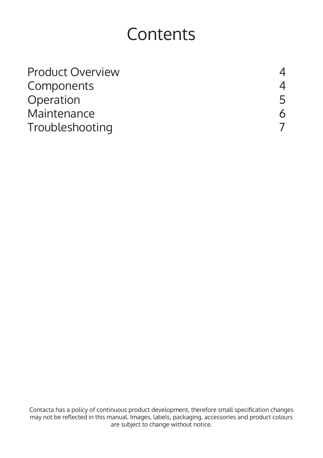### **Contents**

| <b>Product Overview</b> |   |
|-------------------------|---|
| Components              | 4 |
| Operation               | 5 |
| Maintenance             | 6 |
| Troubleshooting         |   |

Contacta has a policy of continuous product development, therefore small specification changes may not be reflected in this manual. Images, labels, packaging, accessories and product colours are subject to change without notice.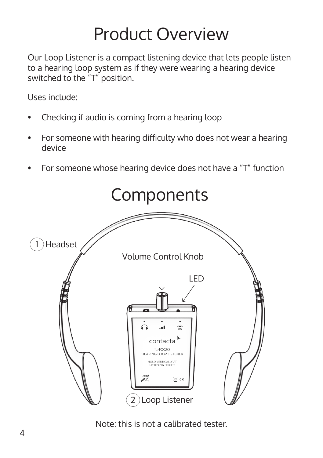## Product Overview

Our Loop Listener is a compact listening device that lets people listen to a hearing loop system as if they were wearing a hearing device switched to the "T" position.

Uses include:

- Checking if audio is coming from a hearing loop
- For someone with hearing difficulty who does not wear a hearing device
- For someone whose hearing device does not have a "T" function



Note: this is not a calibrated tester.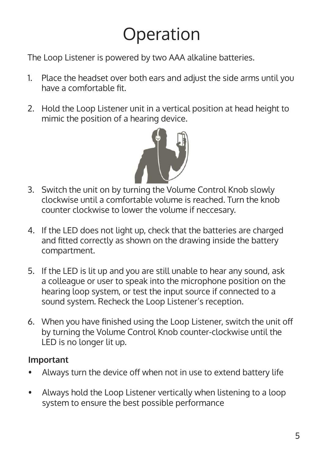# Operation

The Loop Listener is powered by two AAA alkaline batteries.

- 1. Place the headset over both ears and adjust the side arms until you have a comfortable fit.
- 2. Hold the Loop Listener unit in a vertical position at head height to mimic the position of a hearing device.



- 3. Switch the unit on by turning the Volume Control Knob slowly clockwise until a comfortable volume is reached. Turn the knob counter clockwise to lower the volume if neccesary.
- 4. If the LED does not light up, check that the batteries are charged and fitted correctly as shown on the drawing inside the battery compartment.
- 5. If the LED is lit up and you are still unable to hear any sound, ask a colleague or user to speak into the microphone position on the hearing loop system, or test the input source if connected to a sound system. Recheck the Loop Listener's reception.
- 6. When you have finished using the Loop Listener, switch the unit off by turning the Volume Control Knob counter-clockwise until the LED is no longer lit up.

#### **Important**

- Always turn the device off when not in use to extend battery life
- Always hold the Loop Listener vertically when listening to a loop system to ensure the best possible performance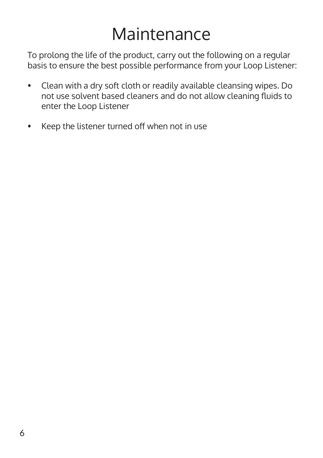## Maintenance

To prolong the life of the product, carry out the following on a regular basis to ensure the best possible performance from your Loop Listener:

- Clean with a dry soft cloth or readily available cleansing wipes. Do not use solvent based cleaners and do not allow cleaning fluids to enter the Loop Listener
- Keep the listener turned off when not in use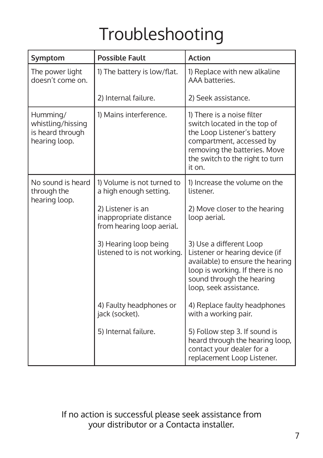# Troubleshooting

| Symptom                                                            | <b>Possible Fault</b>                                                    | <b>Action</b>                                                                                                                                                                                      |
|--------------------------------------------------------------------|--------------------------------------------------------------------------|----------------------------------------------------------------------------------------------------------------------------------------------------------------------------------------------------|
| The power light<br>doesn't come on.                                | 1) The battery is low/flat.                                              | 1) Replace with new alkaline<br>AAA batteries.                                                                                                                                                     |
|                                                                    | 2) Internal failure.                                                     | 2) Seek assistance.                                                                                                                                                                                |
| Humming/<br>whistling/hissing<br>is heard through<br>hearing loop. | 1) Mains interference.                                                   | 1) There is a noise filter<br>switch located in the top of<br>the Loop Listener's battery<br>compartment, accessed by<br>removing the batteries. Move<br>the switch to the right to turn<br>it on. |
| No sound is heard<br>through the<br>hearing loop.                  | 1) Volume is not turned to<br>a high enough setting.                     | 1) Increase the volume on the<br>listener.                                                                                                                                                         |
|                                                                    | 2) Listener is an<br>inappropriate distance<br>from hearing loop aerial. | 2) Move closer to the hearing<br>loop aerial.                                                                                                                                                      |
|                                                                    | 3) Hearing loop being<br>listened to is not working.                     | 3) Use a different Loop<br>Listener or hearing device (if<br>available) to ensure the hearing<br>loop is working. If there is no<br>sound through the hearing<br>loop, seek assistance.            |
|                                                                    | 4) Faulty headphones or<br>jack (socket).                                | 4) Replace faulty headphones<br>with a working pair.                                                                                                                                               |
|                                                                    | 5) Internal failure.                                                     | 5) Follow step 3. If sound is<br>heard through the hearing loop,<br>contact your dealer for a<br>replacement Loop Listener.                                                                        |

If no action is successful please seek assistance from your distributor or a Contacta installer.